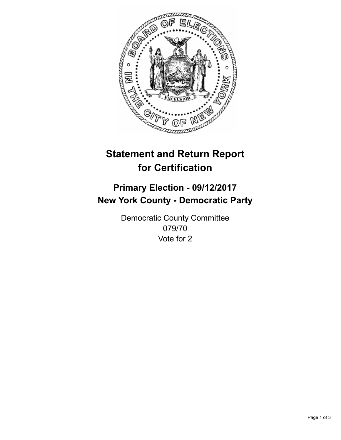

## **Statement and Return Report for Certification**

## **Primary Election - 09/12/2017 New York County - Democratic Party**

Democratic County Committee 079/70 Vote for 2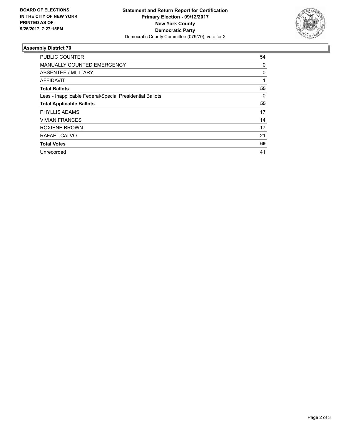

## **Assembly District 70**

| <b>PUBLIC COUNTER</b>                                    | 54 |
|----------------------------------------------------------|----|
| <b>MANUALLY COUNTED EMERGENCY</b>                        | 0  |
| ABSENTEE / MILITARY                                      | 0  |
| <b>AFFIDAVIT</b>                                         |    |
| <b>Total Ballots</b>                                     | 55 |
| Less - Inapplicable Federal/Special Presidential Ballots | 0  |
| <b>Total Applicable Ballots</b>                          | 55 |
| <b>PHYLLIS ADAMS</b>                                     | 17 |
| <b>VIVIAN FRANCES</b>                                    | 14 |
| <b>ROXIENE BROWN</b>                                     | 17 |
| RAFAEL CALVO                                             | 21 |
| <b>Total Votes</b>                                       | 69 |
| Unrecorded                                               | 41 |